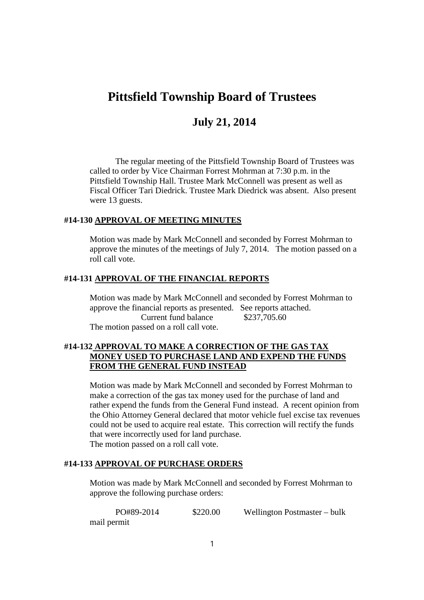# **Pittsfield Township Board of Trustees**

# **July 21, 2014**

The regular meeting of the Pittsfield Township Board of Trustees was called to order by Vice Chairman Forrest Mohrman at 7:30 p.m. in the Pittsfield Township Hall. Trustee Mark McConnell was present as well as Fiscal Officer Tari Diedrick. Trustee Mark Diedrick was absent. Also present were 13 guests.

### **#14-130 APPROVAL OF MEETING MINUTES**

Motion was made by Mark McConnell and seconded by Forrest Mohrman to approve the minutes of the meetings of July 7, 2014. The motion passed on a roll call vote.

### **#14-131 APPROVAL OF THE FINANCIAL REPORTS**

Motion was made by Mark McConnell and seconded by Forrest Mohrman to approve the financial reports as presented. See reports attached. Current fund balance \$237,705.60 The motion passed on a roll call vote.

### **#14-132 APPROVAL TO MAKE A CORRECTION OF THE GAS TAX MONEY USED TO PURCHASE LAND AND EXPEND THE FUNDS FROM THE GENERAL FUND INSTEAD**

Motion was made by Mark McConnell and seconded by Forrest Mohrman to make a correction of the gas tax money used for the purchase of land and rather expend the funds from the General Fund instead. A recent opinion from the Ohio Attorney General declared that motor vehicle fuel excise tax revenues could not be used to acquire real estate. This correction will rectify the funds that were incorrectly used for land purchase. The motion passed on a roll call vote.

### **#14-133 APPROVAL OF PURCHASE ORDERS**

Motion was made by Mark McConnell and seconded by Forrest Mohrman to approve the following purchase orders:

| PO#89-2014  | \$220.00 | Wellington Postmaster – bulk |
|-------------|----------|------------------------------|
| mail permit |          |                              |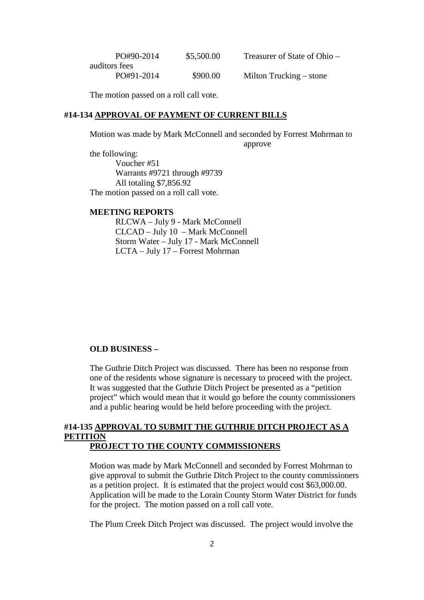| PO#90-2014    | \$5,500.00 | Treasurer of State of Ohio – |  |
|---------------|------------|------------------------------|--|
| auditors fees |            |                              |  |
| PO#91-2014    | \$900.00   | Milton Trucking – stone      |  |

The motion passed on a roll call vote.

### **#14-134 APPROVAL OF PAYMENT OF CURRENT BILLS**

Motion was made by Mark McConnell and seconded by Forrest Mohrman to approve

the following: Voucher #51 Warrants #9721 through #9739 All totaling \$7,856.92 The motion passed on a roll call vote.

#### **MEETING REPORTS**

RLCWA – July 9 - Mark McConnell CLCAD – July 10 – Mark McConnell Storm Water – July 17 - Mark McConnell LCTA – July 17 – Forrest Mohrman

### **OLD BUSINESS –**

The Guthrie Ditch Project was discussed. There has been no response from one of the residents whose signature is necessary to proceed with the project. It was suggested that the Guthrie Ditch Project be presented as a "petition project" which would mean that it would go before the county commissioners and a public hearing would be held before proceeding with the project.

# **#14-135 APPROVAL TO SUBMIT THE GUTHRIE DITCH PROJECT AS A PETITION**

### **PROJECT TO THE COUNTY COMMISSIONERS**

Motion was made by Mark McConnell and seconded by Forrest Mohrman to give approval to submit the Guthrie Ditch Project to the county commissioners as a petition project. It is estimated that the project would cost \$63,000.00. Application will be made to the Lorain County Storm Water District for funds for the project. The motion passed on a roll call vote.

The Plum Creek Ditch Project was discussed. The project would involve the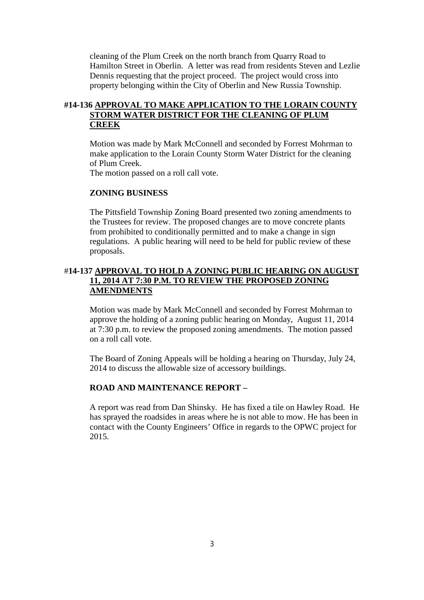cleaning of the Plum Creek on the north branch from Quarry Road to Hamilton Street in Oberlin. A letter was read from residents Steven and Lezlie Dennis requesting that the project proceed. The project would cross into property belonging within the City of Oberlin and New Russia Township.

### **#14-136 APPROVAL TO MAKE APPLICATION TO THE LORAIN COUNTY STORM WATER DISTRICT FOR THE CLEANING OF PLUM CREEK**

Motion was made by Mark McConnell and seconded by Forrest Mohrman to make application to the Lorain County Storm Water District for the cleaning of Plum Creek.

The motion passed on a roll call vote.

### **ZONING BUSINESS**

The Pittsfield Township Zoning Board presented two zoning amendments to the Trustees for review. The proposed changes are to move concrete plants from prohibited to conditionally permitted and to make a change in sign regulations. A public hearing will need to be held for public review of these proposals.

# #**14-137 APPROVAL TO HOLD A ZONING PUBLIC HEARING ON AUGUST 11, 2014 AT 7:30 P.M. TO REVIEW THE PROPOSED ZONING AMENDMENTS**

Motion was made by Mark McConnell and seconded by Forrest Mohrman to approve the holding of a zoning public hearing on Monday, August 11, 2014 at 7:30 p.m. to review the proposed zoning amendments. The motion passed on a roll call vote.

The Board of Zoning Appeals will be holding a hearing on Thursday, July 24, 2014 to discuss the allowable size of accessory buildings.

### **ROAD AND MAINTENANCE REPORT –**

A report was read from Dan Shinsky. He has fixed a tile on Hawley Road. He has sprayed the roadsides in areas where he is not able to mow. He has been in contact with the County Engineers' Office in regards to the OPWC project for 2015.